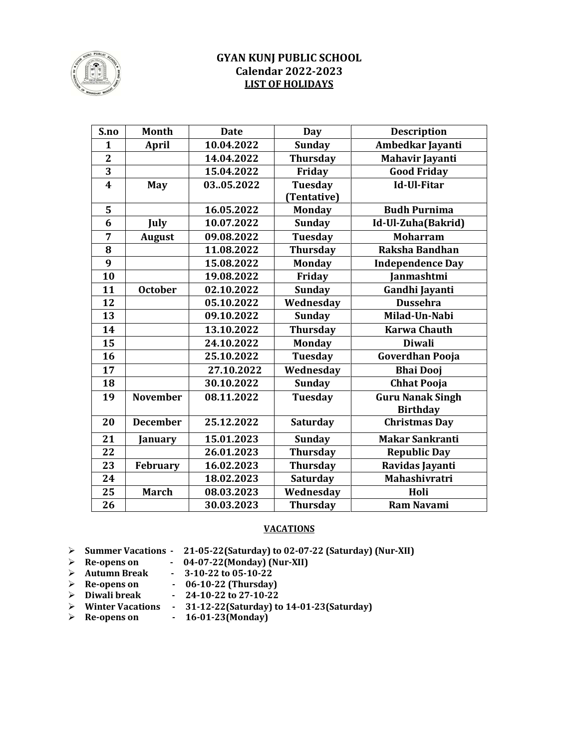

#### **GYAN KUNJ PUBLIC SCHOOL Calendar 2022-2023 LIST OF HOLIDAYS**

| S.no                    | <b>Month</b>    | <b>Date</b> | <b>Day</b>      | <b>Description</b>      |
|-------------------------|-----------------|-------------|-----------------|-------------------------|
| $\mathbf{1}$            | <b>April</b>    | 10.04.2022  | <b>Sunday</b>   | Ambedkar Jayanti        |
| $\overline{2}$          |                 | 14.04.2022  | <b>Thursday</b> | <b>Mahavir Jayanti</b>  |
| $\overline{\mathbf{3}}$ |                 | 15.04.2022  | Friday          | <b>Good Friday</b>      |
| $\overline{\mathbf{4}}$ | May             | 0305.2022   | Tuesday         | Id-Ul-Fitar             |
|                         |                 |             | (Tentative)     |                         |
| 5                       |                 | 16.05.2022  | <b>Monday</b>   | <b>Budh Purnima</b>     |
| 6                       | July            | 10.07.2022  | <b>Sunday</b>   | Id-Ul-Zuha(Bakrid)      |
| 7                       | <b>August</b>   | 09.08.2022  | <b>Tuesday</b>  | <b>Moharram</b>         |
| 8                       |                 | 11.08.2022  | <b>Thursday</b> | Raksha Bandhan          |
| 9                       |                 | 15.08.2022  | <b>Monday</b>   | <b>Independence Day</b> |
| 10                      |                 | 19.08.2022  | Friday          | Janmashtmi              |
| 11                      | <b>October</b>  | 02.10.2022  | <b>Sunday</b>   | Gandhi Jayanti          |
| 12                      |                 | 05.10.2022  | Wednesday       | <b>Dussehra</b>         |
| 13                      |                 | 09.10.2022  | <b>Sunday</b>   | Milad-Un-Nabi           |
| 14                      |                 | 13.10.2022  | <b>Thursday</b> | <b>Karwa Chauth</b>     |
| 15                      |                 | 24.10.2022  | <b>Monday</b>   | <b>Diwali</b>           |
| 16                      |                 | 25.10.2022  | <b>Tuesday</b>  | <b>Goverdhan Pooja</b>  |
| 17                      |                 | 27.10.2022  | Wednesday       | <b>Bhai Dooj</b>        |
| 18                      |                 | 30.10.2022  | <b>Sunday</b>   | <b>Chhat Pooja</b>      |
| 19                      | <b>November</b> | 08.11.2022  | <b>Tuesday</b>  | <b>Guru Nanak Singh</b> |
|                         |                 |             |                 | <b>Birthday</b>         |
| 20                      | <b>December</b> | 25.12.2022  | <b>Saturday</b> | <b>Christmas Day</b>    |
| 21                      | January         | 15.01.2023  | <b>Sunday</b>   | <b>Makar Sankranti</b>  |
| 22                      |                 | 26.01.2023  | <b>Thursday</b> | <b>Republic Day</b>     |
| 23                      | February        | 16.02.2023  | <b>Thursday</b> | Ravidas Jayanti         |
| 24                      |                 | 18.02.2023  | <b>Saturday</b> | Mahashivratri           |
| 25                      | <b>March</b>    | 08.03.2023  | Wednesday       | Holi                    |
| 26                      |                 | 30.03.2023  | <b>Thursday</b> | <b>Ram Navami</b>       |

#### **VACATIONS**

**▷** Summer Vacations - 21-05-22(Saturday) to 02-07-22 (Saturday) (Nur-XII)

- **▶** Re-opens on 04-07-22(Monday) (Nur-XII)
- Ø **Autumn Break - 3-10-22 to 05-10-22**
- **▶** Re-opens on **-** 06-10-22 (Thursday)
- **EXECUTE:** Diwali break **34-10-22** to 27-10-22
- Ø **Winter Vacations - 31-12-22(Saturday) to 14-01-23(Saturday)**
- $\triangleright$  Re-opens on  $\cdot$  16-01-23(Monday)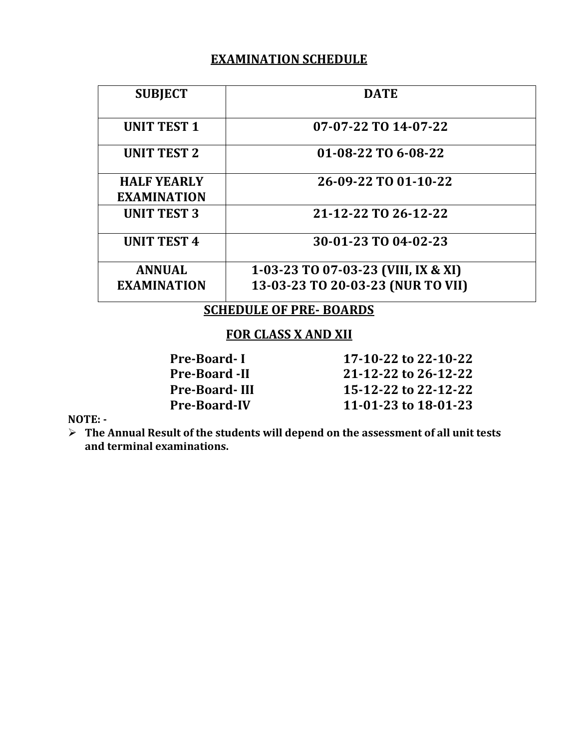### **EXAMINATION SCHEDULE**

| <b>SUBJECT</b>                | <b>DATE</b>                         |  |
|-------------------------------|-------------------------------------|--|
| <b>UNIT TEST 1</b>            | 07-07-22 TO 14-07-22                |  |
| <b>UNIT TEST 2</b>            | 01-08-22 TO 6-08-22                 |  |
| <b>HALF YEARLY</b>            | 26-09-22 TO 01-10-22                |  |
| <b>EXAMINATION</b>            |                                     |  |
| <b>UNIT TEST 3</b>            | 21-12-22 TO 26-12-22                |  |
| <b>UNIT TEST 4</b>            | 30-01-23 TO 04-02-23                |  |
| <b>ANNUAL</b>                 | 1-03-23 TO 07-03-23 (VIII, IX & XI) |  |
| <b>EXAMINATION</b>            | 13-03-23 TO 20-03-23 (NUR TO VII)   |  |
| <b>SCHEDULE OF PRE-BOARDS</b> |                                     |  |

### **FOR CLASS X AND XII**

| <b>Pre-Board-I</b>   | 17-10-22 to 22-10-22 |
|----------------------|----------------------|
| <b>Pre-Board -II</b> | 21-12-22 to 26-12-22 |
| <b>Pre-Board-III</b> | 15-12-22 to 22-12-22 |
| <b>Pre-Board-IV</b>  | 11-01-23 to 18-01-23 |

#### **NOTE: -**

**≻** The Annual Result of the students will depend on the assessment of all unit tests and terminal examinations.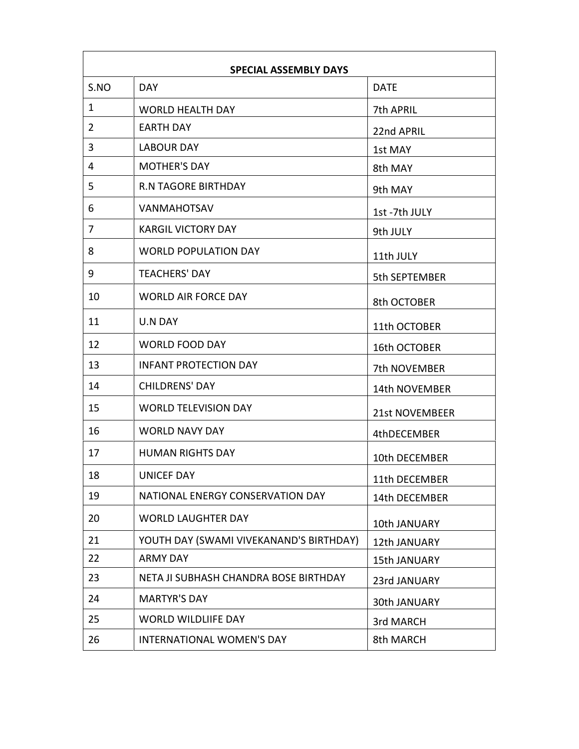| S.NO         | <b>SPECIAL ASSEMBLY DAYS</b><br><b>DAY</b>  | <b>DATE</b>         |
|--------------|---------------------------------------------|---------------------|
| $\mathbf{1}$ |                                             |                     |
| 2            | <b>WORLD HEALTH DAY</b><br><b>EARTH DAY</b> | 7th APRIL           |
|              |                                             | 22nd APRIL          |
| 3            | <b>LABOUR DAY</b>                           | 1st MAY             |
| 4            | <b>MOTHER'S DAY</b>                         | 8th MAY             |
| 5            | <b>R.N TAGORE BIRTHDAY</b>                  | 9th MAY             |
| 6            | <b>VANMAHOTSAV</b>                          | 1st-7th JULY        |
| 7            | <b>KARGIL VICTORY DAY</b>                   | 9th JULY            |
| 8            | <b>WORLD POPULATION DAY</b>                 | 11th JULY           |
| 9            | <b>TEACHERS' DAY</b>                        | 5th SEPTEMBER       |
| 10           | <b>WORLD AIR FORCE DAY</b>                  | 8th OCTOBER         |
| 11           | <b>U.N DAY</b>                              | 11th OCTOBER        |
| 12           | <b>WORLD FOOD DAY</b>                       | 16th OCTOBER        |
| 13           | <b>INFANT PROTECTION DAY</b>                | 7th NOVEMBER        |
| 14           | <b>CHILDRENS' DAY</b>                       | 14th NOVEMBER       |
| 15           | <b>WORLD TELEVISION DAY</b>                 | 21st NOVEMBEER      |
| 16           | <b>WORLD NAVY DAY</b>                       | 4thDECEMBER         |
| 17           | <b>HUMAN RIGHTS DAY</b>                     | 10th DECEMBER       |
| 18           | <b>UNICEF DAY</b>                           | 11th DECEMBER       |
| 19           | NATIONAL ENERGY CONSERVATION DAY            | 14th DECEMBER       |
| 20           | <b>WORLD LAUGHTER DAY</b>                   | 10th JANUARY        |
| 21           | YOUTH DAY (SWAMI VIVEKANAND'S BIRTHDAY)     | 12th JANUARY        |
| 22           | <b>ARMY DAY</b>                             | <b>15th JANUARY</b> |
| 23           | NETA JI SUBHASH CHANDRA BOSE BIRTHDAY       | 23rd JANUARY        |
| 24           | <b>MARTYR'S DAY</b>                         | 30th JANUARY        |
| 25           | <b>WORLD WILDLIIFE DAY</b>                  | 3rd MARCH           |
| 26           | <b>INTERNATIONAL WOMEN'S DAY</b>            | 8th MARCH           |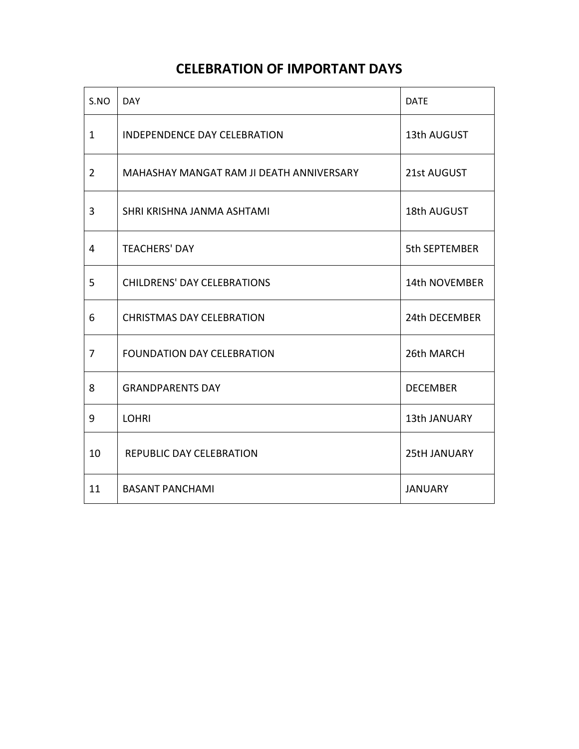## **CELEBRATION OF IMPORTANT DAYS**

| S.NO           | <b>DAY</b>                               | <b>DATE</b>         |
|----------------|------------------------------------------|---------------------|
| $\mathbf{1}$   | <b>INDEPENDENCE DAY CELEBRATION</b>      | 13th AUGUST         |
| $\overline{2}$ | MAHASHAY MANGAT RAM JI DEATH ANNIVERSARY | 21st AUGUST         |
| 3              | SHRI KRISHNA JANMA ASHTAMI               | 18th AUGUST         |
| 4              | <b>TEACHERS' DAY</b>                     | 5th SEPTEMBER       |
| 5              | <b>CHILDRENS' DAY CELEBRATIONS</b>       | 14th NOVEMBER       |
| 6              | <b>CHRISTMAS DAY CELEBRATION</b>         | 24th DECEMBER       |
| $\overline{7}$ | <b>FOUNDATION DAY CELEBRATION</b>        | 26th MARCH          |
| 8              | <b>GRANDPARENTS DAY</b>                  | <b>DECEMBER</b>     |
| 9              | <b>LOHRI</b>                             | 13th JANUARY        |
| 10             | REPUBLIC DAY CELEBRATION                 | <b>25tH JANUARY</b> |
| 11             | <b>BASANT PANCHAMI</b>                   | <b>JANUARY</b>      |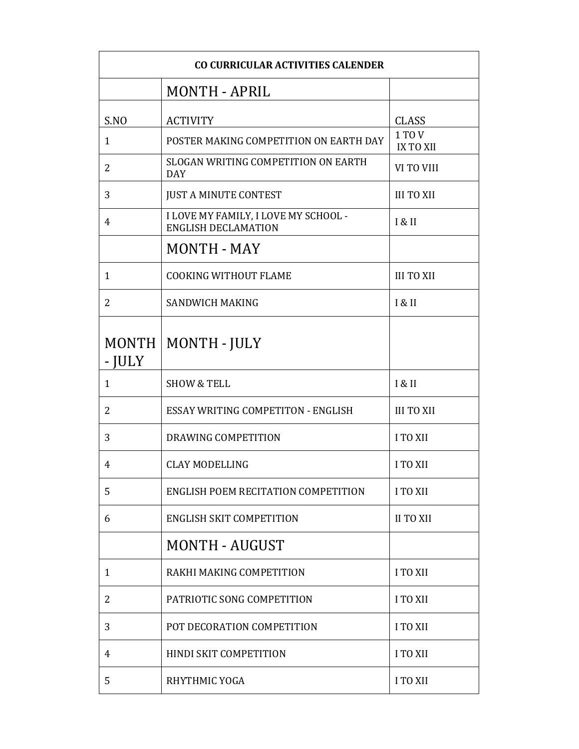| CO CURRICULAR ACTIVITIES CALENDER |                                                                    |                            |
|-----------------------------------|--------------------------------------------------------------------|----------------------------|
|                                   | <b>MONTH - APRIL</b>                                               |                            |
| S.NO                              | <b>ACTIVITY</b>                                                    | <b>CLASS</b>               |
| $\mathbf{1}$                      | POSTER MAKING COMPETITION ON EARTH DAY                             | 1 TO V<br><b>IX TO XII</b> |
| 2                                 | SLOGAN WRITING COMPETITION ON EARTH<br><b>DAY</b>                  | VI TO VIII                 |
| 3                                 | <b>JUST A MINUTE CONTEST</b>                                       | <b>III TO XII</b>          |
| 4                                 | I LOVE MY FAMILY, I LOVE MY SCHOOL -<br><b>ENGLISH DECLAMATION</b> | I & II                     |
|                                   | <b>MONTH - MAY</b>                                                 |                            |
| $\mathbf{1}$                      | <b>COOKING WITHOUT FLAME</b>                                       | <b>III TO XII</b>          |
| 2                                 | <b>SANDWICH MAKING</b>                                             | I & II                     |
| <b>MONTH</b><br>$- IULY$          | MONTH - JULY                                                       |                            |
| 1                                 | <b>SHOW &amp; TELL</b>                                             | I & II                     |
| 2                                 | <b>ESSAY WRITING COMPETITON - ENGLISH</b>                          | <b>III TO XII</b>          |
| 3                                 | DRAWING COMPETITION                                                | <b>I TO XII</b>            |
| 4                                 | <b>CLAY MODELLING</b>                                              | <b>I TO XII</b>            |
| 5                                 | ENGLISH POEM RECITATION COMPETITION                                | <b>I TO XII</b>            |
| 6                                 | <b>ENGLISH SKIT COMPETITION</b>                                    | <b>II TO XII</b>           |
|                                   | <b>MONTH - AUGUST</b>                                              |                            |
| 1                                 | RAKHI MAKING COMPETITION                                           | I TO XII                   |
| 2                                 | PATRIOTIC SONG COMPETITION                                         | I TO XII                   |
| 3                                 | POT DECORATION COMPETITION                                         | <b>I TO XII</b>            |
| 4                                 | HINDI SKIT COMPETITION                                             | <b>I TO XII</b>            |
| 5                                 | RHYTHMIC YOGA                                                      | I TO XII                   |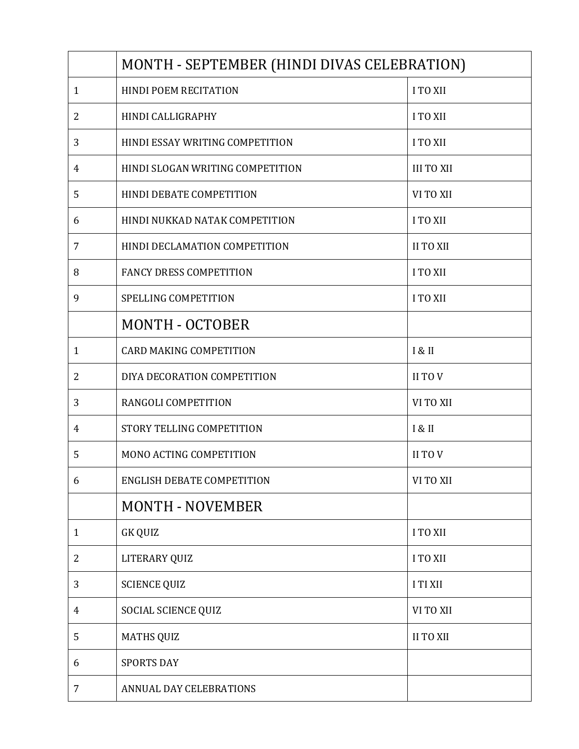|              | MONTH - SEPTEMBER (HINDI DIVAS CELEBRATION) |                   |  |
|--------------|---------------------------------------------|-------------------|--|
| $\mathbf{1}$ | HINDI POEM RECITATION                       | I TO XII          |  |
| 2            | HINDI CALLIGRAPHY                           | <b>I TO XII</b>   |  |
| 3            | HINDI ESSAY WRITING COMPETITION             | I TO XII          |  |
| 4            | HINDI SLOGAN WRITING COMPETITION            | <b>III TO XII</b> |  |
| 5            | HINDI DEBATE COMPETITION                    | VI TO XII         |  |
| 6            | HINDI NUKKAD NATAK COMPETITION              | <b>I TO XII</b>   |  |
| 7            | HINDI DECLAMATION COMPETITION               | <b>II TO XII</b>  |  |
| 8            | <b>FANCY DRESS COMPETITION</b>              | I TO XII          |  |
| 9            | <b>SPELLING COMPETITION</b>                 | I TO XII          |  |
|              | <b>MONTH - OCTOBER</b>                      |                   |  |
| $\mathbf{1}$ | <b>CARD MAKING COMPETITION</b>              | I & II            |  |
| 2            | DIYA DECORATION COMPETITION                 | II TO V           |  |
| 3            | RANGOLI COMPETITION                         | VI TO XII         |  |
| 4            | STORY TELLING COMPETITION                   | I & II            |  |
| 5            | <b>MONO ACTING COMPETITION</b>              | II TO V           |  |
| 6            | <b>ENGLISH DEBATE COMPETITION</b>           | VI TO XII         |  |
|              | <b>MONTH - NOVEMBER</b>                     |                   |  |
| $\mathbf{1}$ | <b>GK QUIZ</b>                              | <b>I TO XII</b>   |  |
| 2            | LITERARY QUIZ                               | I TO XII          |  |
| 3            | <b>SCIENCE QUIZ</b>                         | I TI XII          |  |
| 4            | SOCIAL SCIENCE QUIZ                         | VI TO XII         |  |
| 5            | <b>MATHS QUIZ</b>                           | <b>II TO XII</b>  |  |
| 6            | <b>SPORTS DAY</b>                           |                   |  |
| 7            | ANNUAL DAY CELEBRATIONS                     |                   |  |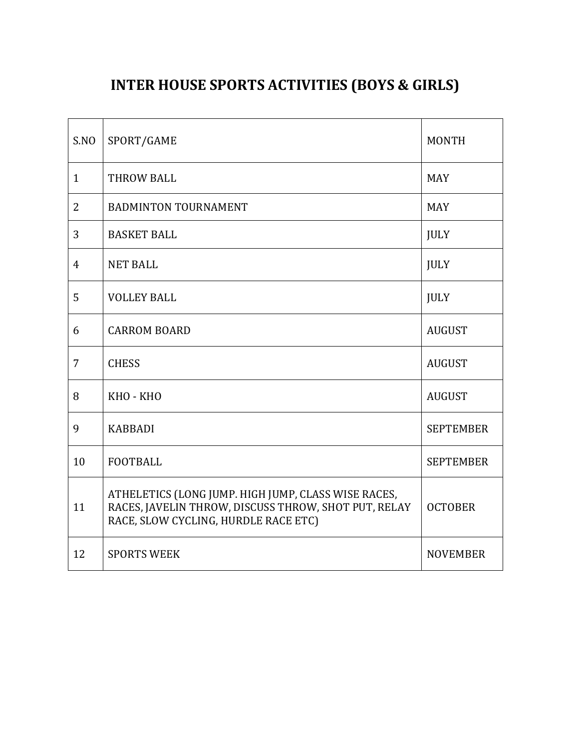## **INTER HOUSE SPORTS ACTIVITIES (BOYS & GIRLS)**

| S.NO           | SPORT/GAME                                                                                                                                          | <b>MONTH</b>     |
|----------------|-----------------------------------------------------------------------------------------------------------------------------------------------------|------------------|
| $\mathbf{1}$   | <b>THROW BALL</b>                                                                                                                                   | <b>MAY</b>       |
| 2              | <b>BADMINTON TOURNAMENT</b>                                                                                                                         | <b>MAY</b>       |
| 3              | <b>BASKET BALL</b>                                                                                                                                  | <b>JULY</b>      |
| $\overline{4}$ | <b>NET BALL</b>                                                                                                                                     | <b>JULY</b>      |
| 5              | <b>VOLLEY BALL</b>                                                                                                                                  | <b>JULY</b>      |
| 6              | <b>CARROM BOARD</b>                                                                                                                                 | <b>AUGUST</b>    |
| $\overline{7}$ | <b>CHESS</b>                                                                                                                                        | <b>AUGUST</b>    |
| 8              | KHO - KHO                                                                                                                                           | <b>AUGUST</b>    |
| 9              | <b>KABBADI</b>                                                                                                                                      | <b>SEPTEMBER</b> |
| 10             | <b>FOOTBALL</b>                                                                                                                                     | <b>SEPTEMBER</b> |
| 11             | ATHELETICS (LONG JUMP. HIGH JUMP, CLASS WISE RACES,<br>RACES, JAVELIN THROW, DISCUSS THROW, SHOT PUT, RELAY<br>RACE, SLOW CYCLING, HURDLE RACE ETC) | <b>OCTOBER</b>   |
| 12             | <b>SPORTS WEEK</b>                                                                                                                                  | <b>NOVEMBER</b>  |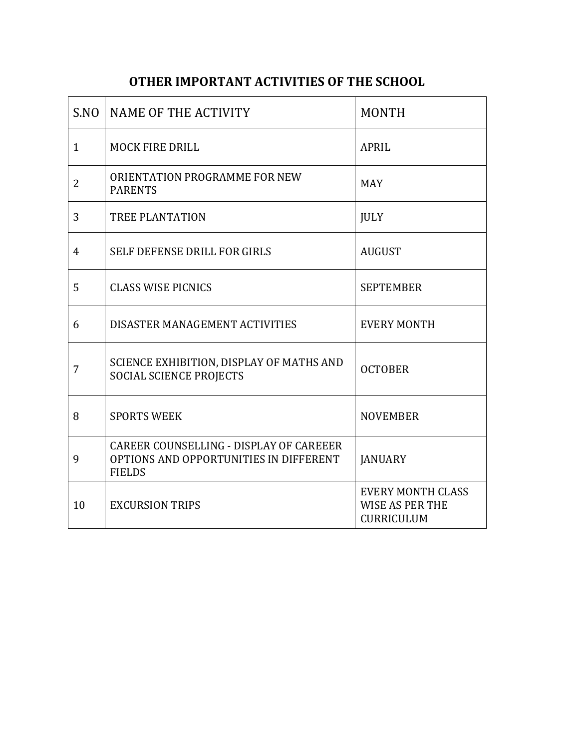## **OTHER IMPORTANT ACTIVITIES OF THE SCHOOL**

| SNO            | NAME OF THE ACTIVITY                                                                               | <b>MONTH</b>                                              |
|----------------|----------------------------------------------------------------------------------------------------|-----------------------------------------------------------|
| 1              | <b>MOCK FIRE DRILL</b>                                                                             | <b>APRIL</b>                                              |
| $\overline{2}$ | ORIENTATION PROGRAMME FOR NEW<br><b>PARENTS</b>                                                    | <b>MAY</b>                                                |
| 3              | <b>TREE PLANTATION</b>                                                                             | <b>JULY</b>                                               |
| $\overline{4}$ | SELF DEFENSE DRILL FOR GIRLS                                                                       | <b>AUGUST</b>                                             |
| 5              | <b>CLASS WISE PICNICS</b>                                                                          | <b>SEPTEMBER</b>                                          |
| 6              | DISASTER MANAGEMENT ACTIVITIES                                                                     | <b>EVERY MONTH</b>                                        |
| 7              | SCIENCE EXHIBITION, DISPLAY OF MATHS AND<br><b>SOCIAL SCIENCE PROJECTS</b>                         | <b>OCTOBER</b>                                            |
| 8              | <b>SPORTS WEEK</b>                                                                                 | <b>NOVEMBER</b>                                           |
| 9              | CAREER COUNSELLING - DISPLAY OF CAREEER<br>OPTIONS AND OPPORTUNITIES IN DIFFERENT<br><b>FIELDS</b> | <b>JANUARY</b>                                            |
| 10             | <b>EXCURSION TRIPS</b>                                                                             | <b>EVERY MONTH CLASS</b><br>WISE AS PER THE<br>CURRICULUM |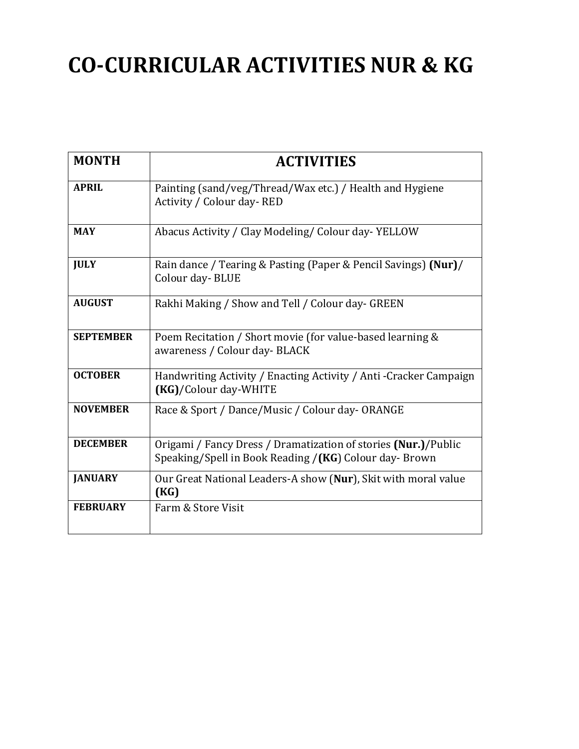## **CO-CURRICULAR ACTIVITIES NUR & KG**

| <b>MONTH</b>     | <b>ACTIVITIES</b>                                                                                                        |
|------------------|--------------------------------------------------------------------------------------------------------------------------|
| <b>APRIL</b>     | Painting (sand/veg/Thread/Wax etc.) / Health and Hygiene<br>Activity / Colour day-RED                                    |
| <b>MAY</b>       | Abacus Activity / Clay Modeling/ Colour day-YELLOW                                                                       |
| <b>JULY</b>      | Rain dance / Tearing & Pasting (Paper & Pencil Savings) (Nur)/<br>Colour day-BLUE                                        |
| <b>AUGUST</b>    | Rakhi Making / Show and Tell / Colour day- GREEN                                                                         |
| <b>SEPTEMBER</b> | Poem Recitation / Short movie (for value-based learning &<br>awareness / Colour day- BLACK                               |
| <b>OCTOBER</b>   | Handwriting Activity / Enacting Activity / Anti - Cracker Campaign<br>(KG)/Colour day-WHITE                              |
| <b>NOVEMBER</b>  | Race & Sport / Dance/Music / Colour day-ORANGE                                                                           |
| <b>DECEMBER</b>  | Origami / Fancy Dress / Dramatization of stories (Nur.)/Public<br>Speaking/Spell in Book Reading /(KG) Colour day- Brown |
| <b>JANUARY</b>   | Our Great National Leaders-A show (Nur), Skit with moral value<br>(KG)                                                   |
| <b>FEBRUARY</b>  | Farm & Store Visit                                                                                                       |